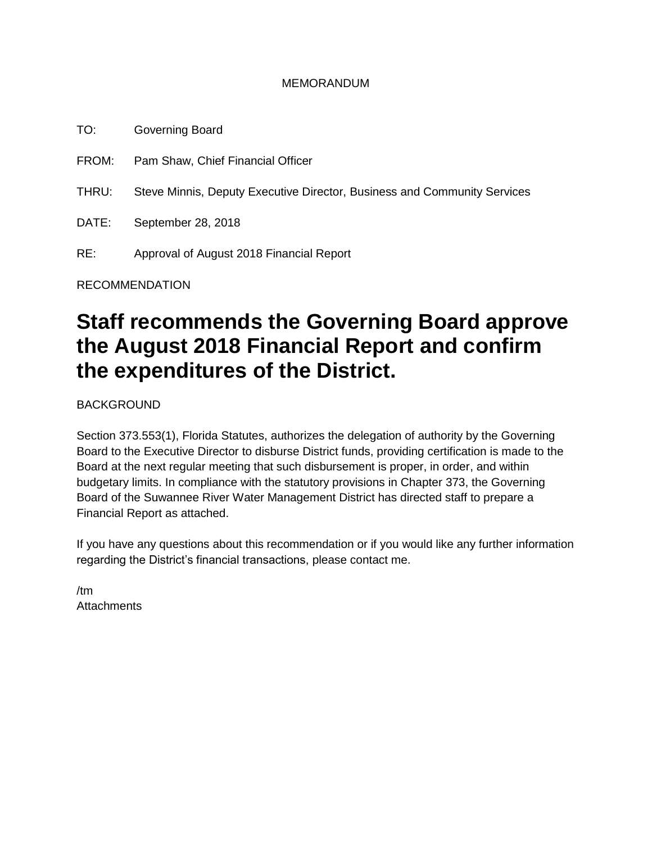#### MEMORANDUM

TO: Governing Board FROM: Pam Shaw, Chief Financial Officer THRU: Steve Minnis, Deputy Executive Director, Business and Community Services DATE: September 28, 2018 RE: Approval of August 2018 Financial Report RECOMMENDATION

# **Staff recommends the Governing Board approve the August 2018 Financial Report and confirm the expenditures of the District.**

BACKGROUND

Section 373.553(1), Florida Statutes, authorizes the delegation of authority by the Governing Board to the Executive Director to disburse District funds, providing certification is made to the Board at the next regular meeting that such disbursement is proper, in order, and within budgetary limits. In compliance with the statutory provisions in Chapter 373, the Governing Board of the Suwannee River Water Management District has directed staff to prepare a Financial Report as attached.

If you have any questions about this recommendation or if you would like any further information regarding the District's financial transactions, please contact me.

/tm **Attachments**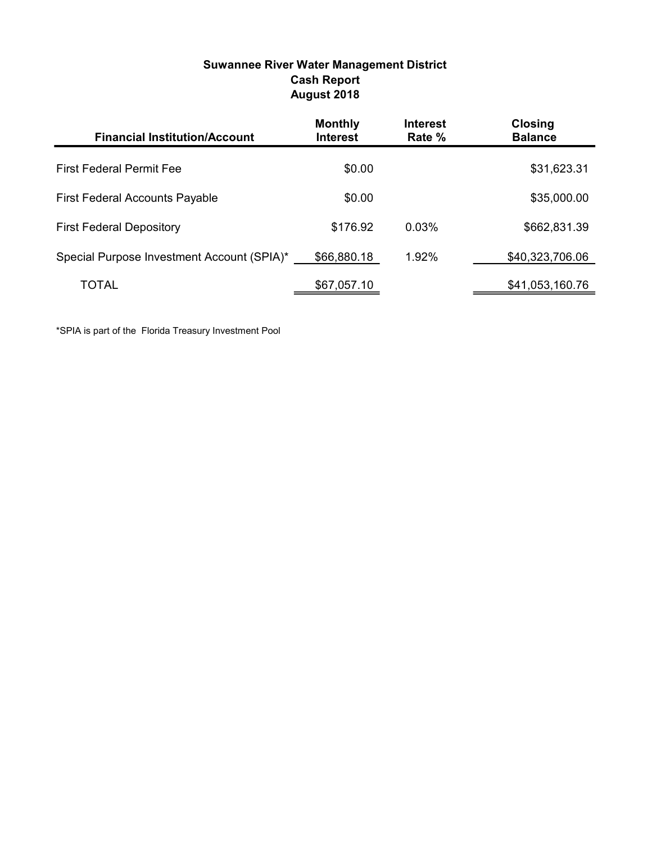| <b>Suwannee River Water Management District</b> |
|-------------------------------------------------|
| <b>Cash Report</b>                              |
| August 2018                                     |

| <b>Financial Institution/Account</b>       | <b>Monthly</b><br><b>Interest</b> | <b>Interest</b><br>Rate % | <b>Closing</b><br><b>Balance</b> |
|--------------------------------------------|-----------------------------------|---------------------------|----------------------------------|
| <b>First Federal Permit Fee</b>            | \$0.00                            |                           | \$31,623.31                      |
| <b>First Federal Accounts Payable</b>      | \$0.00                            |                           | \$35,000.00                      |
| <b>First Federal Depository</b>            | \$176.92                          | 0.03%                     | \$662,831.39                     |
| Special Purpose Investment Account (SPIA)* | \$66,880.18                       | $1.92\%$                  | \$40,323,706.06                  |
| TOTAL                                      | \$67,057.10                       |                           | \$41,053,160.76                  |

\*SPIA is part of the Florida Treasury Investment Pool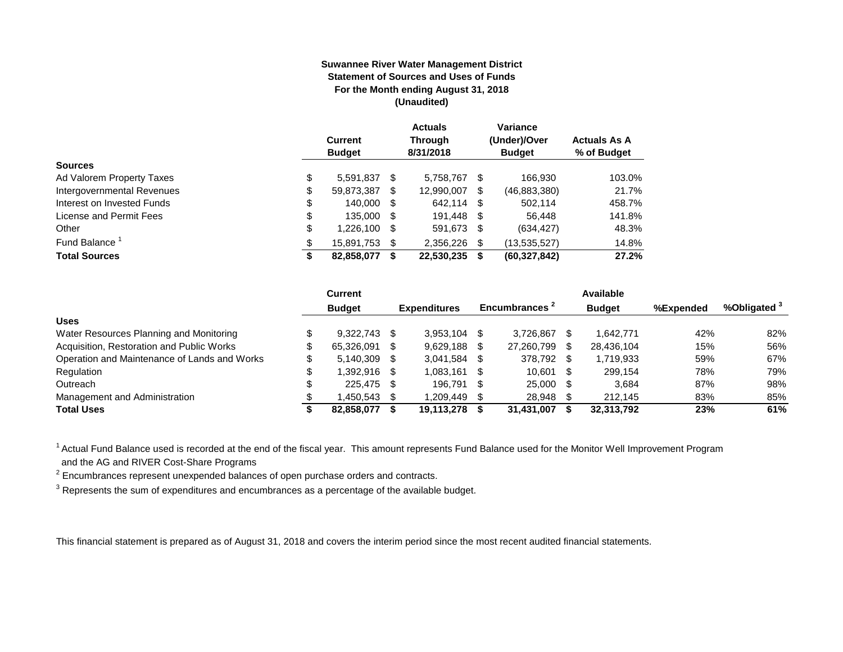#### **Suwannee River Water Management District Statement of Sources and Uses of Funds For the Month ending August 31, 2018 (Unaudited)**

|                            | <b>Current</b><br><b>Budget</b> |   | <b>Actuals</b><br><b>Through</b><br>8/31/2018 |    | Variance<br>(Under)/Over<br><b>Budget</b> | <b>Actuals As A</b><br>% of Budget |
|----------------------------|---------------------------------|---|-----------------------------------------------|----|-------------------------------------------|------------------------------------|
| <b>Sources</b>             |                                 |   |                                               |    |                                           |                                    |
| Ad Valorem Property Taxes  | \$<br>5.591.837                 | S | 5.758.767                                     | S  | 166.930                                   | 103.0%                             |
| Intergovernmental Revenues | \$<br>59,873,387                | S | 12,990,007                                    | S  | (46,883,380)                              | 21.7%                              |
| Interest on Invested Funds | \$<br>140.000                   | S | 642,114 \$                                    |    | 502.114                                   | 458.7%                             |
| License and Permit Fees    | \$<br>135,000 \$                |   | 191.448 \$                                    |    | 56.448                                    | 141.8%                             |
| Other                      | \$<br>1,226,100                 | S | 591,673 \$                                    |    | (634, 427)                                | 48.3%                              |
| Fund Balance <sup>1</sup>  | \$<br>15,891,753                |   | 2.356.226                                     | -S | (13,535,527)                              | 14.8%                              |
| <b>Total Sources</b>       | \$<br>82,858,077                |   | 22,530,235                                    | S  | (60, 327, 842)                            | 27.2%                              |

|                                              | <b>Current</b> |                     |     |                           |      | Available     |           |            |
|----------------------------------------------|----------------|---------------------|-----|---------------------------|------|---------------|-----------|------------|
|                                              | <b>Budget</b>  | <b>Expenditures</b> |     | Encumbrances <sup>2</sup> |      | <b>Budget</b> | %Expended | %Obligated |
| <b>Uses</b>                                  |                |                     |     |                           |      |               |           |            |
| Water Resources Planning and Monitoring      | 9.322.743      | 3.953.104           | \$. | 3.726.867                 |      | 1.642.771     | 42%       | 82%        |
| Acquisition, Restoration and Public Works    | 65.326.091     | 9,629,188           | S   | 27,260,799                | S    | 28,436,104    | 15%       | 56%        |
| Operation and Maintenance of Lands and Works | $5.140.309$ \$ | 3.041.584           | \$. | 378,792                   | -S   | 1,719,933     | 59%       | 67%        |
| Regulation                                   | $.392.916$ \$  | 1.083.161           | -S  | 10.601                    | \$.  | 299.154       | 78%       | 79%        |
| Outreach                                     | 225.475 \$     | 196.791             | -S  | 25.000                    | - \$ | 3.684         | 87%       | 98%        |
| Management and Administration                | .450.543       | 1,209,449           |     | 28,948                    |      | 212.145       | 83%       | 85%        |
| <b>Total Uses</b>                            | 82.858.077     | 19.113.278          |     | 31,431,007                |      | 32,313,792    | 23%       | 61%        |

<sup>1</sup> Actual Fund Balance used is recorded at the end of the fiscal year. This amount represents Fund Balance used for the Monitor Well Improvement Program and the AG and RIVER Cost-Share Programs

 $2$  Encumbrances represent unexpended balances of open purchase orders and contracts.

 $3$  Represents the sum of expenditures and encumbrances as a percentage of the available budget.

This financial statement is prepared as of August 31, 2018 and covers the interim period since the most recent audited financial statements.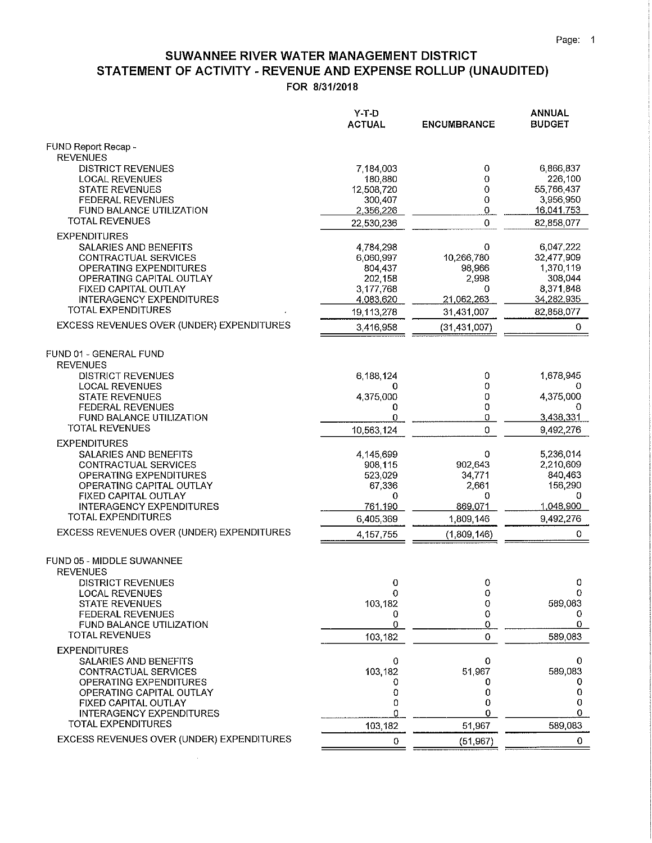#### SUWANNEE RIVER WATER MANAGEMENT DISTRICT STATEMENT OF ACTIVITY - REVENUE AND EXPENSE ROLLUP (UNAUDITED) FOR 8/31/2018

|                                                                                                                                                                                                                    | Y-T-D<br><b>ACTUAL</b>                                                 | <b>ENCUMBRANCE</b>                                           | <b>ANNUAL</b><br><b>BUDGET</b>                                              |
|--------------------------------------------------------------------------------------------------------------------------------------------------------------------------------------------------------------------|------------------------------------------------------------------------|--------------------------------------------------------------|-----------------------------------------------------------------------------|
| FUND Report Recap -<br><b>REVENUES</b>                                                                                                                                                                             |                                                                        |                                                              |                                                                             |
| <b>DISTRICT REVENUES</b><br><b>LOCAL REVENUES</b>                                                                                                                                                                  | 7,184,003<br>180,880                                                   | 0<br>0                                                       | 6,866,837<br>226,100                                                        |
| <b>STATE REVENUES</b><br><b>FEDERAL REVENUES</b><br>FUND BALANCE UTILIZATION                                                                                                                                       | 12,508,720<br>300,407<br>2,356,226                                     | 0<br>0<br>0                                                  | 55,766,437<br>3,956,950<br>16,041,753                                       |
| <b>TOTAL REVENUES</b>                                                                                                                                                                                              | 22,530,236                                                             | $\pmb{0}$                                                    | 82,858,077                                                                  |
| <b>EXPENDITURES</b><br>SALARIES AND BENEFITS<br>CONTRACTUAL SERVICES<br><b>OPERATING EXPENDITURES</b><br>OPERATING CAPITAL OUTLAY                                                                                  | 4,784,298<br>6,060,997<br>804,437<br>202,158                           | 0<br>10,266,780<br>98,966<br>2,998                           | 6,047,222<br>32,477,909<br>1,370,119<br>308,044                             |
| FIXED CAPITAL OUTLAY<br><b>INTERAGENCY EXPENDITURES</b>                                                                                                                                                            | 3,177,768<br>4,083,620                                                 | 0<br>21,062,263                                              | 8,371,848<br>34,282,935                                                     |
| TOTAL EXPENDITURES                                                                                                                                                                                                 | 19,113,278                                                             | 31,431,007                                                   | 82,858,077                                                                  |
| EXCESS REVENUES OVER (UNDER) EXPENDITURES                                                                                                                                                                          | 3,416,958                                                              | (31, 431, 007)                                               | 0.                                                                          |
| FUND 01 - GENERAL FUND<br><b>REVENUES</b>                                                                                                                                                                          |                                                                        |                                                              |                                                                             |
| <b>DISTRICT REVENUES</b><br><b>LOCAL REVENUES</b>                                                                                                                                                                  | 6,188,124<br>0                                                         | 0<br>0                                                       | 1,678,945                                                                   |
| <b>STATE REVENUES</b>                                                                                                                                                                                              | 4,375,000                                                              | 0                                                            | 4,375,000                                                                   |
| <b>FEDERAL REVENUES</b><br><b>FUND BALANCE UTILIZATION</b>                                                                                                                                                         | 0<br>0                                                                 | 0<br>0                                                       | 0<br>3,438,331                                                              |
| <b>TOTAL REVENUES</b>                                                                                                                                                                                              | 10,563,124                                                             | 0                                                            | 9,492,276                                                                   |
| <b>EXPENDITURES</b><br>SALARIES AND BENEFITS<br>CONTRACTUAL SERVICES<br>OPERATING EXPENDITURES<br>OPERATING CAPITAL OUTLAY<br>FIXED CAPITAL OUTLAY<br><b>INTERAGENCY EXPENDITURES</b><br><b>TOTAL EXPENDITURES</b> | 4,145,699<br>908,115<br>523,029<br>67,336<br>0<br>761,190<br>6,405,369 | 0<br>902,643<br>34,771<br>2,661<br>0<br>869,071<br>1,809,146 | 5,236,014<br>2,210,609<br>840,463<br>156,290<br>0<br>1.048,900<br>9,492,276 |
| EXCESS REVENUES OVER (UNDER) EXPENDITURES                                                                                                                                                                          | 4, 157, 755                                                            | (1,809,146)                                                  | 0                                                                           |
| FUND 05 - MIDDLE SUWANNEE<br><b>REVENUES</b>                                                                                                                                                                       |                                                                        |                                                              |                                                                             |
| DISTRICT REVENUES<br><b>LOCAL REVENUES</b><br><b>STATE REVENUES</b><br><b>FEDERAL REVENUES</b>                                                                                                                     | 0<br>0<br>103,182<br>0                                                 | 0<br>0<br>0<br>0                                             | 0<br>0<br>589,083<br>0                                                      |
| FUND BALANCE UTILIZATION<br><b>TOTAL REVENUES</b>                                                                                                                                                                  | 0<br>103,182                                                           | $\overline{0}$<br>0                                          | 0<br>589,083                                                                |
| <b>EXPENDITURES</b><br>SALARIES AND BENEFITS<br>CONTRACTUAL SERVICES<br><b>OPERATING EXPENDITURES</b>                                                                                                              | 0<br>103,182<br>0                                                      | 0<br>51,967<br>0                                             | 0<br>589,083<br>0                                                           |
| OPERATING CAPITAL OUTLAY<br><b>FIXED CAPITAL OUTLAY</b>                                                                                                                                                            | 0<br>0                                                                 | 0<br>0                                                       | 0<br>0                                                                      |
| <b>INTERAGENCY EXPENDITURES</b>                                                                                                                                                                                    | 0                                                                      | 0                                                            | 0                                                                           |
| <b>TOTAL EXPENDITURES</b><br>EXCESS REVENUES OVER (UNDER) EXPENDITURES                                                                                                                                             | 103,182                                                                | 51,967                                                       | 589,083                                                                     |
|                                                                                                                                                                                                                    | 0                                                                      | (51, 967)                                                    | 0                                                                           |

 $\lambda$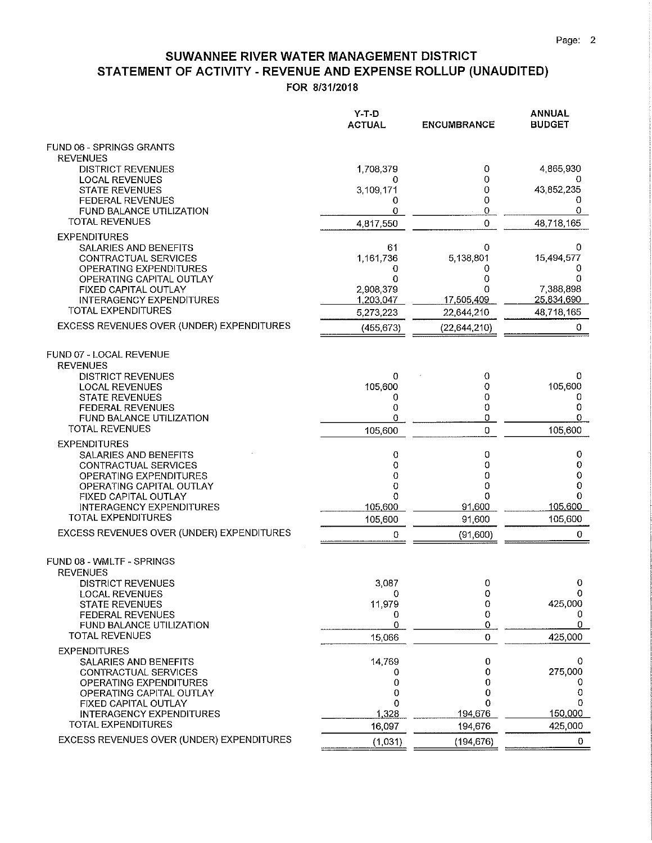#### SUWANNEE RIVER WATER MANAGEMENT DISTRICT STATEMENT OF ACTIVITY - REVENUE AND EXPENSE ROLLUP (UNAUDITED) FOR 8/31/2018

|                                                                | Y-T-D<br><b>ACTUAL</b> | <b>ENCUMBRANCE</b> | ANNUAL<br><b>BUDGET</b> |
|----------------------------------------------------------------|------------------------|--------------------|-------------------------|
| FUND 06 - SPRINGS GRANTS<br><b>REVENUES</b>                    |                        |                    |                         |
| <b>DISTRICT REVENUES</b>                                       | 1,708,379              | 0                  | 4,865,930               |
| <b>LOCAL REVENUES</b><br><b>STATE REVENUES</b>                 | 0<br>3,109,171         | 0<br>0             | 0<br>43,852,235         |
| FEDERAL REVENUES                                               | 0                      | 0                  | 0                       |
| <b>FUND BALANCE UTILIZATION</b><br><b>TOTAL REVENUES</b>       | 0<br>4,817,550         | 0<br>0             | 0<br>48,718,165         |
| <b>EXPENDITURES</b>                                            |                        |                    |                         |
| SALARIES AND BENEFITS                                          | 61                     | 0                  | 0                       |
| CONTRACTUAL SERVICES<br>OPERATING EXPENDITURES                 | 1,161,736<br>0         | 5,138,801<br>0     | 15,494,577<br>0         |
| OPERATING CAPITAL OUTLAY                                       | 0                      | 0                  | 0                       |
| <b>FIXED CAPITAL OUTLAY</b><br><b>INTERAGENCY EXPENDITURES</b> | 2,908,379<br>1,203,047 | በ<br>17,505,409    | 7,388,898<br>25,834,690 |
| <b>TOTAL EXPENDITURES</b>                                      | 5,273,223              | 22,644,210         | 48,718,165              |
| EXCESS REVENUES OVER (UNDER) EXPENDITURES                      | (455, 673)             | (22,644,210)       | 0                       |
| FUND 07 - LOCAL REVENUE<br><b>REVENUES</b>                     |                        |                    |                         |
| <b>DISTRICT REVENUES</b>                                       | 0                      | 0                  | 0                       |
| <b>LOCAL REVENUES</b><br><b>STATE REVENUES</b>                 | 105,600<br>0           | 0<br>0             | 105,600<br>0            |
| <b>FEDERAL REVENUES</b>                                        | 0                      | 0                  | 0                       |
| <b>FUND BALANCE UTILIZATION</b><br><b>TOTAL REVENUES</b>       | 0<br>105,600           | 0<br>0             | 0<br>105,600            |
| <b>EXPENDITURES</b>                                            |                        |                    |                         |
| SALARIES AND BENEFITS                                          | 0                      | 0                  | 0                       |
| CONTRACTUAL SERVICES<br>OPERATING EXPENDITURES                 | 0<br>0                 | 0<br>0             | 0<br>0                  |
| OPERATING CAPITAL OUTLAY                                       | 0                      | 0<br>0             | 0<br>$\mathbf 0$        |
| FIXED CAPITAL OUTLAY<br><b>INTERAGENCY EXPENDITURES</b>        | 0<br>105,600           | 91,600             | 105,600                 |
| <b>TOTAL EXPENDITURES</b>                                      | 105,600                | 91,600             | 105,600                 |
| EXCESS REVENUES OVER (UNDER) EXPENDITURES                      | 0                      | (91,600)           | 0                       |
| FUND 08 - WMLTF - SPRINGS<br><b>REVENUES</b>                   |                        |                    |                         |
| <b>DISTRICT REVENUES</b>                                       | 3,087                  | 0<br>0             | 0<br>0                  |
| LOCAL REVENUES<br><b>STATE REVENUES</b>                        | 0<br>11,979            | 0                  | 425,000                 |
| <b>FEDERAL REVENUES</b><br>FUND BALANCE UTILIZATION            | 0<br>0                 | 0<br>0             | 0<br>0                  |
| <b>TOTAL REVENUES</b>                                          | 15,066                 | 0                  | 425,000                 |
| <b>EXPENDITURES</b>                                            |                        |                    |                         |
| SALARIES AND BENEFITS<br><b>CONTRACTUAL SERVICES</b>           | 14,769<br>0            | 0<br>0             | 0<br>275,000            |
| <b>OPERATING EXPENDITURES</b>                                  | 0                      | 0                  | 0                       |
| OPERATING CAPITAL OUTLAY<br>FIXED CAPITAL OUTLAY               | 0<br>0                 | 0<br>0             | 0<br>0                  |
| <b>INTERAGENCY EXPENDITURES</b>                                | 1,328                  | 194,676            | 150,000                 |
| <b>TOTAL EXPENDITURES</b>                                      | 16,097                 | 194,676            | 425,000                 |
| EXCESS REVENUES OVER (UNDER) EXPENDITURES                      | (1,031)                | (194, 676)         | 0                       |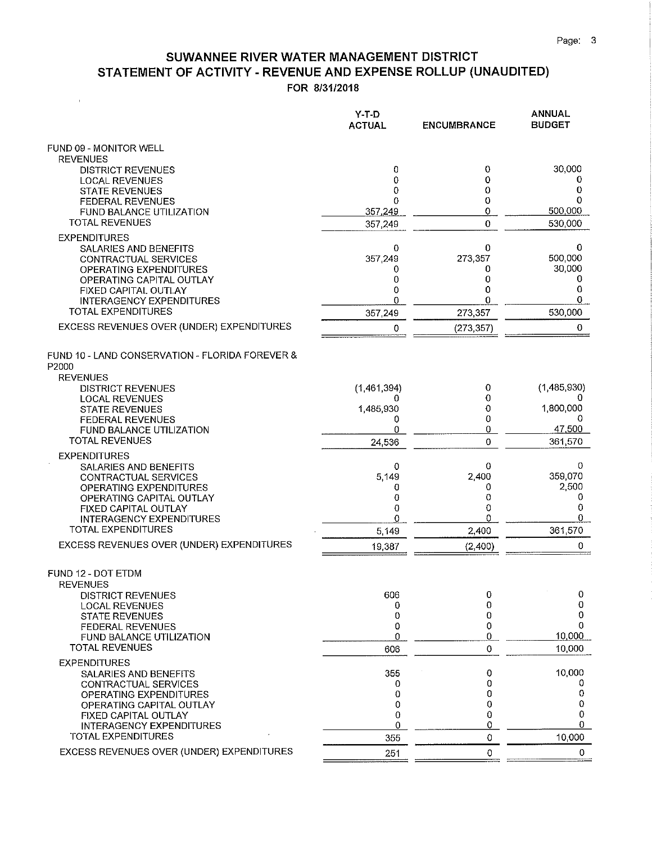## SUWANNEE RIVER WATER MANAGEMENT DISTRICT STATEMENT OF ACTIVITY - REVENUE AND EXPENSE ROLLUP (UNAUDITED)

FOR 8/31/2018

 $\ell$ 

|                                                                             | $Y-T-D$<br><b>ACTUAL</b> | <b>ENCUMBRANCE</b> | ANNUAL<br><b>BUDGET</b> |
|-----------------------------------------------------------------------------|--------------------------|--------------------|-------------------------|
| FUND 09 - MONITOR WELL<br><b>REVENUES</b>                                   |                          |                    |                         |
| <b>DISTRICT REVENUES</b>                                                    | 0                        | 0                  | 30,000                  |
| <b>LOCAL REVENUES</b><br><b>STATE REVENUES</b>                              | $\overline{0}$<br>0      | 0<br>0             | 0<br>0                  |
| <b>FEDERAL REVENUES</b>                                                     | 0                        | 0                  | 0                       |
| <b>FUND BALANCE UTILIZATION</b>                                             | 357,249                  | 0                  | 500,000                 |
| <b>TOTAL REVENUES</b>                                                       | 357,249                  | 0                  | 530,000                 |
| <b>EXPENDITURES</b>                                                         |                          | 0                  | 0                       |
| <b>SALARIES AND BENEFITS</b><br>CONTRACTUAL SERVICES                        | 0<br>357,249             | 273,357            | 500,000                 |
| OPERATING EXPENDITURES                                                      | 0                        | 0                  | 30,000                  |
| OPERATING CAPITAL OUTLAY<br><b>FIXED CAPITAL OUTLAY</b>                     | 0<br>0                   | 0<br>0             | 0<br>0                  |
| <b>INTERAGENCY EXPENDITURES</b>                                             | 0                        | 0                  | 0                       |
| <b>TOTAL EXPENDITURES</b>                                                   | 357,249                  | 273,357            | 530,000                 |
| EXCESS REVENUES OVER (UNDER) EXPENDITURES                                   | 0                        | (273, 357)         | 0                       |
| FUND 10 - LAND CONSERVATION - FLORIDA FOREVER &<br>P2000<br><b>REVENUES</b> |                          |                    |                         |
| <b>DISTRICT REVENUES</b>                                                    | (1,461,394)              | 0                  | (1,485,930)             |
| <b>LOCAL REVENUES</b>                                                       | 0                        | 0                  |                         |
| <b>STATE REVENUES</b><br><b>FEDERAL REVENUES</b>                            | 1,485,930<br>0           | 0<br>0             | 1,800,000               |
| FUND BALANCE UTILIZATION                                                    | 0                        | 0                  | 47,500                  |
| <b>TOTAL REVENUES</b>                                                       | 24,536                   | 0                  | 361 570                 |
| <b>EXPENDITURES</b>                                                         |                          |                    |                         |
| SALARIES AND BENEFITS<br>CONTRACTUAL SERVICES                               | 0<br>5,149               | 0<br>2,400         | 0<br>359,070            |
| OPERATING EXPENDITURES                                                      | 0                        | 0                  | 2,500                   |
| OPERATING CAPITAL OUTLAY<br><b>FIXED CAPITAL OUTLAY</b>                     | 0<br>0                   | 0<br>0             | 0<br>0                  |
| <b>INTERAGENCY EXPENDITURES</b>                                             | 0                        | 0                  | 0                       |
| <b>TOTAL EXPENDITURES</b>                                                   | 5,149                    | 2,400              | 361 570                 |
| EXCESS REVENUES OVER (UNDER) EXPENDITURES                                   | 19,387                   | (2,400)            | 0                       |
| FUND 12 - DOT ETDM<br><b>REVENUES</b>                                       |                          |                    |                         |
| <b>DISTRICT REVENUES</b>                                                    | 606<br>0                 | 0<br>0             | 0<br>0                  |
| <b>LOCAL REVENUES</b><br><b>STATE REVENUES</b>                              | 0                        | $\overline{O}$     | 0                       |
| <b>FEDERAL REVENUES</b>                                                     | 0                        | $\Omega$           | 0                       |
| FUND BALANCE UTILIZATION<br><b>TOTAL REVENUES</b>                           | 0                        | 0                  | 10,000                  |
|                                                                             | 606                      | $\Omega$           | 10.000                  |
| <b>EXPENDITURES</b><br>SALARIES AND BENEFITS                                | 355                      | 0                  | 10,000                  |
| CONTRACTUAL SERVICES                                                        | 0                        | 0                  | 0                       |
| OPERATING EXPENDITURES<br>OPERATING CAPITAL OUTLAY                          | 0<br>0                   | 0<br>0             | 0<br>0                  |
| <b>FIXED CAPITAL OUTLAY</b>                                                 | 0                        | 0                  | 0                       |
| <b>INTERAGENCY EXPENDITURES</b>                                             | 0                        | 0                  | 0                       |
| <b>TOTAL EXPENDITURES</b>                                                   | 355                      | 0                  | 10.000                  |
| EXCESS REVENUES OVER (UNDER) EXPENDITURES                                   | 251                      | $\mathbf 0$        | 0                       |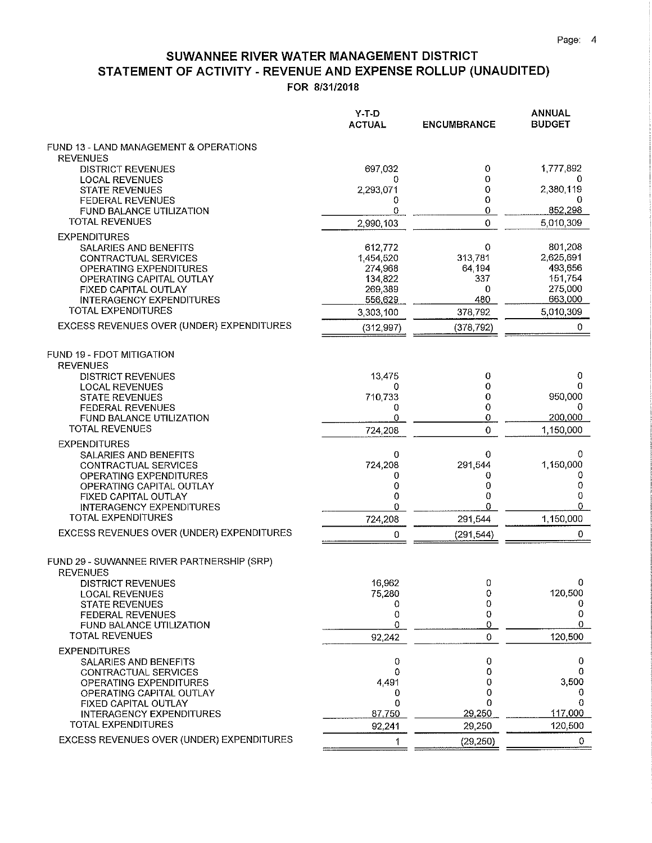### SUWANNEE RIVER WATER MANAGEMENT DISTRICT STATEMENT OF ACTIVITY - REVENUE AND EXPENSE ROLLUP (UNAUDITED) FOR 8/31/2018

|                                                               | $Y-T-D$<br><b>ACTUAL</b> | <b>ENCUMBRANCE</b> | ANNUAL<br><b>BUDGET</b> |
|---------------------------------------------------------------|--------------------------|--------------------|-------------------------|
| FUND 13 - LAND MANAGEMENT & OPERATIONS<br><b>REVENUES</b>     |                          |                    |                         |
| <b>DISTRICT REVENUES</b>                                      | 697,032                  | 0                  | 1,777,892               |
| <b>LOCAL REVENUES</b><br><b>STATE REVENUES</b>                | 0<br>2,293,071           | 0<br>0             | 0<br>2,380,119          |
| <b>FEDERAL REVENUES</b>                                       | 0                        | 0                  | 0                       |
| FUND BALANCE UTILIZATION<br><b>TOTAL REVENUES</b>             | 0                        | 0<br>0             | 852,298                 |
| <b>EXPENDITURES</b>                                           | 2,990,103                |                    | 5,010,309               |
| SALARIES AND BENEFITS                                         | 612,772                  | 0                  | 801,208                 |
| CONTRACTUAL SERVICES                                          | 1,454,520                | 313,781            | 2,625,691               |
| OPERATING EXPENDITURES<br>OPERATING CAPITAL OUTLAY            | 274,968<br>134,822       | 64,194<br>337      | 493,656<br>151,754      |
| FIXED CAPITAL OUTLAY                                          | 269,389                  | 0                  | 275,000                 |
| <b>INTERAGENCY EXPENDITURES</b>                               | 556,629                  | 480                | 663,000                 |
| <b>TOTAL EXPENDITURES</b>                                     | 3,303,100                | 378,792            | 5,010,309               |
| EXCESS REVENUES OVER (UNDER) EXPENDITURES                     | (312,997)                | (378, 792)         | 0                       |
| FUND 19 - FDOT MITIGATION<br><b>REVENUES</b>                  |                          |                    |                         |
| <b>DISTRICT REVENUES</b>                                      | 13,475                   | 0                  | 0                       |
| <b>LOCAL REVENUES</b><br><b>STATE REVENUES</b>                | 0<br>710,733             | 0<br>0             | 0<br>950,000            |
| <b>FEDERAL REVENUES</b>                                       | 0                        | 0                  | 0                       |
| <b>FUND BALANCE UTILIZATION</b>                               | 0                        | 0                  | 200,000                 |
| <b>TOTAL REVENUES</b>                                         | 724,208                  | 0                  | 1,150,000               |
| <b>EXPENDITURES</b>                                           |                          |                    |                         |
| SALARIES AND BENEFITS<br><b>CONTRACTUAL SERVICES</b>          | 0<br>724,208             | 0<br>291,544       | 0<br>1,150,000          |
| OPERATING EXPENDITURES                                        | 0                        | 0                  | 0                       |
| OPERATING CAPITAL OUTLAY                                      | 0                        | 0                  | 0                       |
| FIXED CAPITAL OUTLAY<br><b>INTERAGENCY EXPENDITURES</b>       | 0<br>0                   | 0<br>O             | 0<br>$\theta$           |
| TOTAL EXPENDITURES                                            | 724,208                  | 291,544            | 1 150,000               |
| EXCESS REVENUES OVER (UNDER) EXPENDITURES                     | Ω                        | (291, 544)         | 0                       |
| FUND 29 - SUWANNEE RIVER PARTNERSHIP (SRP)<br><b>REVENUES</b> |                          |                    |                         |
| <b>DISTRICT REVENUES</b>                                      | 16,962                   | 0                  | 0.                      |
| LOCAL REVENUES<br><b>STATE REVENUES</b>                       | 75,280<br>0              | 0<br>0             | 120,500<br>U            |
| FEDERAL REVENUES                                              | 0                        | 0                  | 0                       |
| FUND BALANCE UTILIZATION                                      | 0                        | 0                  | 0                       |
| <b>TOTAL REVENUES</b>                                         | 92,242                   | $\Omega$           | 120,500                 |
| <b>EXPENDITURES</b><br>SALARIES AND BENEFITS                  | 0                        | 0                  | 0                       |
| CONTRACTUAL SERVICES                                          | 0                        | 0                  | 0                       |
| <b>OPERATING EXPENDITURES</b>                                 | 4491                     | 0                  | 3,500                   |
| OPERATING CAPITAL OUTLAY                                      | 0<br>0                   | 0<br>0             | υ<br>0                  |
| FIXED CAPITAL OUTLAY<br>INTERAGENCY EXPENDITURES              | 87,750                   | 29,250             | 117,000                 |
| <b>TOTAL EXPENDITURES</b>                                     | 92,241                   | 29,250             | 120,500                 |
| EXCESS REVENUES OVER (UNDER) EXPENDITURES                     | 1                        | (29, 250)          | 0                       |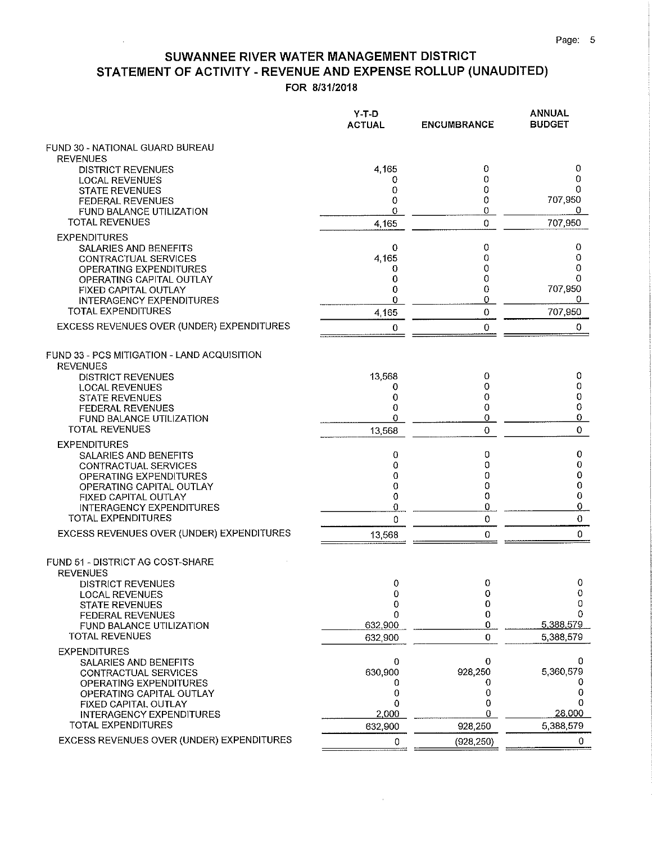## SUWANNEE RIVER WATER MANAGEMENT DISTRICT STATEMENT OF ACTIVITY - REVENUE AND EXPENSE ROLLUP (UNAUDITED)

FOR 8/31/2018

|                                                                | Y-T-D<br><b>ACTUAL</b> | <b>ENCUMBRANCE</b> | <b>ANNUAL</b><br><b>BUDGET</b> |
|----------------------------------------------------------------|------------------------|--------------------|--------------------------------|
| FUND 30 - NATIONAL GUARD BUREAU                                |                        |                    |                                |
| <b>REVENUES</b><br><b>DISTRICT REVENUES</b>                    | 4,165                  | 0                  | 0                              |
| <b>LOCAL REVENUES</b>                                          | 0                      | 0                  | 0                              |
| <b>STATE REVENUES</b>                                          | 0                      | 0                  | 0                              |
| <b>FEDERAL REVENUES</b>                                        | 0<br>0                 | 0<br>0             | 707,950<br>0                   |
| <b>FUND BALANCE UTILIZATION</b><br><b>TOTAL REVENUES</b>       | 4,165                  | 0                  | 707,950                        |
| <b>EXPENDITURES</b>                                            |                        |                    |                                |
| SALARIES AND BENEFITS                                          | 0                      | 0                  | 0                              |
| <b>CONTRACTUAL SERVICES</b>                                    | 4,165                  | 0                  | 0                              |
| OPERATING EXPENDITURES                                         | 0                      | 0                  | 0<br>0                         |
| OPERATING CAPITAL OUTLAY<br><b>FIXED CAPITAL OUTLAY</b>        | 0<br>0                 | 0<br>0             | 707,950                        |
| <b>INTERAGENCY EXPENDITURES</b>                                | 0                      | 0                  | 0                              |
| <b>TOTAL EXPENDITURES</b>                                      | 4,165                  | 0                  | 707,950                        |
| EXCESS REVENUES OVER (UNDER) EXPENDITURES                      | 0                      | 0                  | 0                              |
| FUND 33 - PCS MITIGATION - LAND ACQUISITION<br><b>REVENUES</b> |                        |                    |                                |
| <b>DISTRICT REVENUES</b>                                       | 13,568                 | 0                  | 0                              |
| <b>LOCAL REVENUES</b>                                          | 0                      | 0                  | 0                              |
| <b>STATE REVENUES</b><br><b>FEDERAL REVENUES</b>               | 0<br>0                 | 0<br>0             | 0<br>0                         |
| FUND BALANCE UTILIZATION                                       | 0                      | 0                  | $\overline{0}$                 |
| <b>TOTAL REVENUES</b>                                          | 13,568                 | 0                  | 0                              |
| <b>EXPENDITURES</b>                                            |                        |                    |                                |
| <b>SALARIES AND BENEFITS</b>                                   | 0                      | 0                  | 0                              |
| <b>CONTRACTUAL SERVICES</b>                                    | 0                      | 0                  | 0                              |
| <b>OPERATING EXPENDITURES</b><br>OPERATING CAPITAL OUTLAY      | 0<br>0                 | 0<br>0             | 0<br>0                         |
| FIXED CAPITAL OUTLAY                                           | 0                      | 0                  | 0                              |
| <b>INTERAGENCY EXPENDITURES</b>                                | 0                      | 0                  | 0                              |
| TOTAL EXPENDITURES                                             | 0                      | 0                  | 0                              |
| EXCESS REVENUES OVER (UNDER) EXPENDITURES                      | 13,568                 | 0                  | $\pmb{0}$                      |
| FUND 51 - DISTRICT AG COST-SHARE<br><b>REVENUES</b>            |                        |                    |                                |
| <b>DISTRICT REVENUES</b>                                       | $\mathbf 0$            | 0                  | $\mathbf 0$                    |
| <b>LOCAL REVENUES</b><br><b>STATE REVENUES</b>                 | 0<br>0                 | 0<br>0             | 0<br>0                         |
| <b>FEDERAL REVENUES</b>                                        | 0                      | 0                  | 0                              |
| FUND BALANCE UTILIZATION                                       | 632,900                | 0                  | 5.388.579                      |
| <b>TOTAL REVENUES</b>                                          | 632,900                | 0                  | 5 388 579                      |
| <b>EXPENDITURES</b>                                            |                        |                    |                                |
| SALARIES AND BENEFITS<br>CONTRACTUAL SERVICES                  | 0<br>630,900           | 0<br>928,250       | 0<br>5,360.579                 |
| OPERATING EXPENDITURES                                         | 0                      | O                  |                                |
| OPERATING CAPITAL OUTLAY                                       | 0                      | 0                  | 0                              |
| FIXED CAPITAL OUTLAY                                           | 0                      | 0                  | 0                              |
| <b>INTERAGENCY EXPENDITURES</b><br><b>TOTAL EXPENDITURES</b>   | 2,000                  | O                  | 28,000                         |
| EXCESS REVENUES OVER (UNDER) EXPENDITURES                      | 632,900                | 928,250            | 5,388,579                      |
|                                                                | 0                      | (928, 250)         | 0                              |

 $\hat{\boldsymbol{\theta}}$